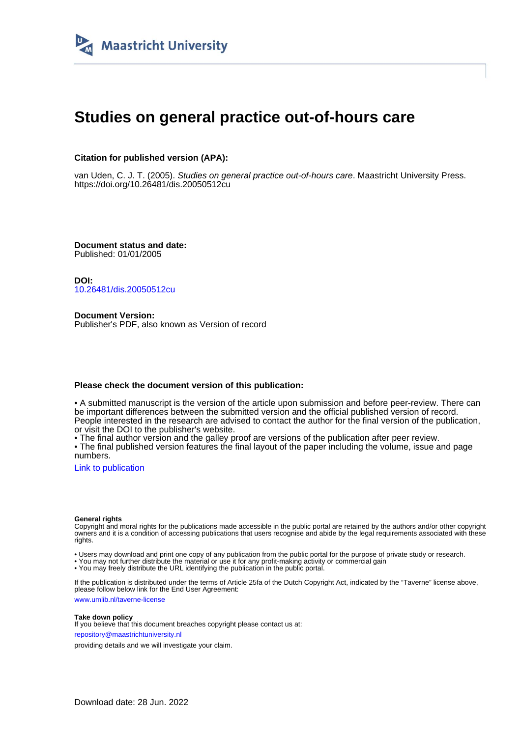

# **Studies on general practice out-of-hours care**

### **Citation for published version (APA):**

van Uden, C. J. T. (2005). Studies on general practice out-of-hours care. Maastricht University Press. <https://doi.org/10.26481/dis.20050512cu>

**Document status and date:** Published: 01/01/2005

**DOI:** [10.26481/dis.20050512cu](https://doi.org/10.26481/dis.20050512cu)

**Document Version:** Publisher's PDF, also known as Version of record

#### **Please check the document version of this publication:**

• A submitted manuscript is the version of the article upon submission and before peer-review. There can be important differences between the submitted version and the official published version of record. People interested in the research are advised to contact the author for the final version of the publication, or visit the DOI to the publisher's website.

• The final author version and the galley proof are versions of the publication after peer review.

• The final published version features the final layout of the paper including the volume, issue and page numbers.

[Link to publication](https://cris.maastrichtuniversity.nl/en/publications/be36540e-6ad5-45c2-963d-a519cd6d50bb)

#### **General rights**

Copyright and moral rights for the publications made accessible in the public portal are retained by the authors and/or other copyright owners and it is a condition of accessing publications that users recognise and abide by the legal requirements associated with these rights.

• Users may download and print one copy of any publication from the public portal for the purpose of private study or research.

• You may not further distribute the material or use it for any profit-making activity or commercial gain

• You may freely distribute the URL identifying the publication in the public portal.

If the publication is distributed under the terms of Article 25fa of the Dutch Copyright Act, indicated by the "Taverne" license above, please follow below link for the End User Agreement:

www.umlib.nl/taverne-license

#### **Take down policy**

If you believe that this document breaches copyright please contact us at: repository@maastrichtuniversity.nl

providing details and we will investigate your claim.